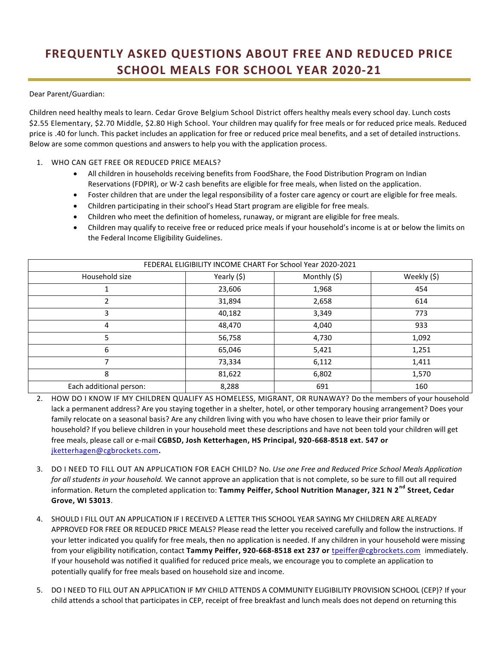## **FREQUENTLY ASKED QUESTIONS ABOUT FREE AND REDUCED PRICE SCHOOL MEALS FOR SCHOOL YEAR 2020-21**

Dear Parent/Guardian:

Children need healthy meals to learn. Cedar Grove Belgium School District offers healthy meals every school day. Lunch costs \$2.55 Elementary, \$2.70 Middle, \$2.80 High School. Your children may qualify for free meals or for reduced price meals. Reduced price is .40 for lunch. This packet includes an application for free or reduced price meal benefits, and a set of detailed instructions. Below are some common questions and answers to help you with the application process.

- 1. WHO CAN GET FREE OR REDUCED PRICE MEALS?
	- All children in households receiving benefits from FoodShare, the Food Distribution Program on Indian Reservations (FDPIR), or W-2 cash benefits are eligible for free meals, when listed on the application.
	- Foster children that are under the legal responsibility of a foster care agency or court are eligible for free meals.
	- Children participating in their school's Head Start program are eligible for free meals.
	- Children who meet the definition of homeless, runaway, or migrant are eligible for free meals.
	- Children may qualify to receive free or reduced price meals if your household's income is at or below the limits on the Federal Income Eligibility Guidelines.

| FEDERAL ELIGIBILITY INCOME CHART For School Year 2020-2021 |             |              |             |
|------------------------------------------------------------|-------------|--------------|-------------|
| Household size                                             | Yearly (\$) | Monthly (\$) | Weekly (\$) |
|                                                            | 23,606      | 1,968        | 454         |
|                                                            | 31,894      | 2,658        | 614         |
| 3                                                          | 40,182      | 3,349        | 773         |
| 4                                                          | 48,470      | 4,040        | 933         |
| 5                                                          | 56,758      | 4,730        | 1,092       |
| 6                                                          | 65,046      | 5,421        | 1,251       |
| 7                                                          | 73,334      | 6,112        | 1,411       |
| 8                                                          | 81,622      | 6,802        | 1,570       |
| Each additional person:                                    | 8,288       | 691          | 160         |

- 2. HOW DO I KNOW IF MY CHILDREN QUALIFY AS HOMELESS, MIGRANT, OR RUNAWAY? Do the members of your household lack a permanent address? Are you staying together in a shelter, hotel, or other temporary housing arrangement? Does your family relocate on a seasonal basis? Are any children living with you who have chosen to leave their prior family or household? If you believe children in your household meet these descriptions and have not been told your children will get free meals, please call or e-mail **CGBSD, Josh Ketterhagen, HS Principal, 920-668-8518 ext. 547 or**  [jketterhagen@cgbrockets.com](mailto:jketterhagen@cgbrockets.com)**.**
- 3. DO I NEED TO FILL OUT AN APPLICATION FOR EACH CHILD? No. *Use one Free and Reduced Price School Meals Application for all students in your household.* We cannot approve an application that is not complete, so be sure to fill out all required information. Return the completed application to: **Tammy Peiffer, School Nutrition Manager, 321 N 2nd Street, Cedar Grove, WI 53013**.
- 4. SHOULD I FILL OUT AN APPLICATION IF I RECEIVED A LETTER THIS SCHOOL YEAR SAYING MY CHILDREN ARE ALREADY APPROVED FOR FREE OR REDUCED PRICE MEALS? Please read the letter you received carefully and follow the instructions. If your letter indicated you qualify for free meals, then no application is needed. If any children in your household were missing from your eligibility notification, contact **Tammy Peiffer, 920-668-8518 ext 237 or** [tpeiffer@cgbrockets.com](mailto:tpeiffer@cgbrockets.com) immediately. If your household was notified it qualified for reduced price meals, we encourage you to complete an application to potentially qualify for free meals based on household size and income.
- 5. DO I NEED TO FILL OUT AN APPLICATION IF MY CHILD ATTENDS A COMMUNITY ELIGIBILITY PROVISION SCHOOL (CEP)? If your child attends a school that participates in CEP, receipt of free breakfast and lunch meals does not depend on returning this